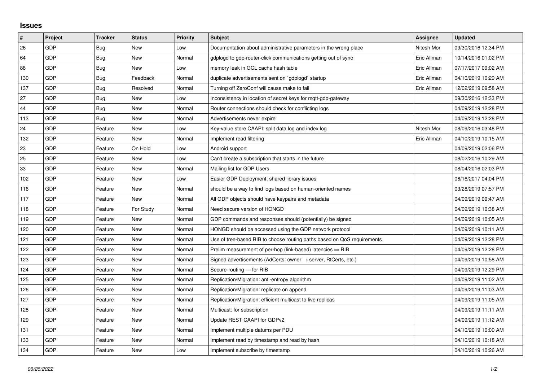## **Issues**

| $\vert$ # | Project    | <b>Tracker</b> | <b>Status</b> | <b>Priority</b> | <b>Subject</b>                                                             | Assignee    | <b>Updated</b>      |
|-----------|------------|----------------|---------------|-----------------|----------------------------------------------------------------------------|-------------|---------------------|
| 26        | GDP        | <b>Bug</b>     | <b>New</b>    | Low             | Documentation about administrative parameters in the wrong place           | Nitesh Mor  | 09/30/2016 12:34 PM |
| 64        | <b>GDP</b> | <b>Bug</b>     | <b>New</b>    | Normal          | gdplogd to gdp-router-click communications getting out of sync             | Eric Allman | 10/14/2016 01:02 PM |
| 88        | <b>GDP</b> | Bug            | <b>New</b>    | Low             | memory leak in GCL cache hash table                                        | Eric Allman | 07/17/2017 09:02 AM |
| 130       | GDP        | Bug            | Feedback      | Normal          | duplicate advertisements sent on `gdplogd` startup                         | Eric Allman | 04/10/2019 10:29 AM |
| 137       | <b>GDP</b> | Bug            | Resolved      | Normal          | Turning off ZeroConf will cause make to fail                               | Eric Allman | 12/02/2019 09:58 AM |
| 27        | <b>GDP</b> | Bug            | <b>New</b>    | Low             | Inconsistency in location of secret keys for mgtt-gdp-gateway              |             | 09/30/2016 12:33 PM |
| 44        | GDP        | <b>Bug</b>     | <b>New</b>    | Normal          | Router connections should check for conflicting logs                       |             | 04/09/2019 12:28 PM |
| 113       | <b>GDP</b> | Bug            | New           | Normal          | Advertisements never expire                                                |             | 04/09/2019 12:28 PM |
| 24        | <b>GDP</b> | Feature        | <b>New</b>    | Low             | Key-value store CAAPI: split data log and index log                        | Nitesh Mor  | 08/09/2016 03:48 PM |
| 132       | <b>GDP</b> | Feature        | <b>New</b>    | Normal          | Implement read filtering                                                   | Eric Allman | 04/10/2019 10:15 AM |
| 23        | <b>GDP</b> | Feature        | On Hold       | Low             | Android support                                                            |             | 04/09/2019 02:06 PM |
| 25        | <b>GDP</b> | Feature        | <b>New</b>    | Low             | Can't create a subscription that starts in the future                      |             | 08/02/2016 10:29 AM |
| 33        | <b>GDP</b> | Feature        | <b>New</b>    | Normal          | Mailing list for GDP Users                                                 |             | 08/04/2016 02:03 PM |
| 102       | <b>GDP</b> | Feature        | <b>New</b>    | Low             | Easier GDP Deployment: shared library issues                               |             | 06/16/2017 04:04 PM |
| 116       | <b>GDP</b> | Feature        | <b>New</b>    | Normal          | should be a way to find logs based on human-oriented names                 |             | 03/28/2019 07:57 PM |
| 117       | <b>GDP</b> | Feature        | <b>New</b>    | Normal          | All GDP objects should have keypairs and metadata                          |             | 04/09/2019 09:47 AM |
| 118       | <b>GDP</b> | Feature        | For Study     | Normal          | Need secure version of HONGD                                               |             | 04/09/2019 10:38 AM |
| 119       | <b>GDP</b> | Feature        | <b>New</b>    | Normal          | GDP commands and responses should (potentially) be signed                  |             | 04/09/2019 10:05 AM |
| 120       | <b>GDP</b> | Feature        | <b>New</b>    | Normal          | HONGD should be accessed using the GDP network protocol                    |             | 04/09/2019 10:11 AM |
| 121       | <b>GDP</b> | Feature        | <b>New</b>    | Normal          | Use of tree-based RIB to choose routing paths based on QoS requirements    |             | 04/09/2019 12:28 PM |
| 122       | <b>GDP</b> | Feature        | <b>New</b>    | Normal          | Prelim measurement of per-hop (link-based) latencies $\Rightarrow$ RIB     |             | 04/09/2019 12:28 PM |
| 123       | <b>GDP</b> | Feature        | <b>New</b>    | Normal          | Signed advertisements (AdCerts: owner $\rightarrow$ server, RtCerts, etc.) |             | 04/09/2019 10:58 AM |
| 124       | <b>GDP</b> | Feature        | <b>New</b>    | Normal          | Secure-routing - for RIB                                                   |             | 04/09/2019 12:29 PM |
| 125       | <b>GDP</b> | Feature        | <b>New</b>    | Normal          | Replication/Migration: anti-entropy algorithm                              |             | 04/09/2019 11:02 AM |
| 126       | <b>GDP</b> | Feature        | <b>New</b>    | Normal          | Replication/Migration: replicate on append                                 |             | 04/09/2019 11:03 AM |
| 127       | <b>GDP</b> | Feature        | <b>New</b>    | Normal          | Replication/Migration: efficient multicast to live replicas                |             | 04/09/2019 11:05 AM |
| 128       | <b>GDP</b> | Feature        | <b>New</b>    | Normal          | Multicast: for subscription                                                |             | 04/09/2019 11:11 AM |
| 129       | <b>GDP</b> | Feature        | <b>New</b>    | Normal          | Update REST CAAPI for GDPv2                                                |             | 04/09/2019 11:12 AM |
| 131       | GDP        | Feature        | <b>New</b>    | Normal          | Implement multiple datums per PDU                                          |             | 04/10/2019 10:00 AM |
| 133       | GDP        | Feature        | <b>New</b>    | Normal          | Implement read by timestamp and read by hash                               |             | 04/10/2019 10:18 AM |
| 134       | <b>GDP</b> | Feature        | <b>New</b>    | Low             | Implement subscribe by timestamp                                           |             | 04/10/2019 10:26 AM |